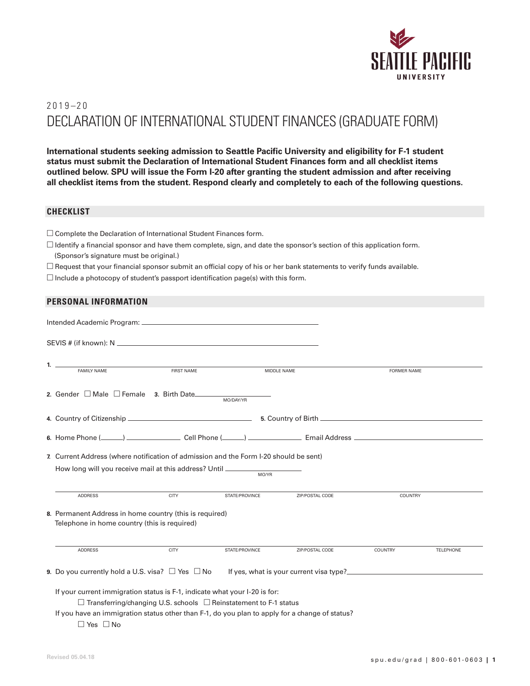

# $2019 - 20$ DECLARATION OF INTERNATIONAL STUDENT FINANCES (GRADUATE FORM)

**International students seeking admission to Seattle Pacific University and eligibility for F-1 student status must submit the Declaration of International Student Finances form and all checklist items outlined below. SPU will issue the Form I-20 after granting the student admission and after receiving all checklist items from the student. Respond clearly and completely to each of the following questions.**

## **CHECKLIST**

- $\square$  Complete the Declaration of International Student Finances form.
- $\Box$  Identify a financial sponsor and have them complete, sign, and date the sponsor's section of this application form. (Sponsor's signature must be original.)
- $\Box$  Request that your financial sponsor submit an official copy of his or her bank statements to verify funds available.
- $\square$  Include a photocopy of student's passport identification page(s) with this form.

## **PERSONAL INFORMATION**

|                                                                                                                                                                                                                                                              | FAMILY NAME                                                                                                                                                               | <b>FIRST NAME</b> |                | MIDDLE NAME     | <b>FORMER NAME</b> |                  |
|--------------------------------------------------------------------------------------------------------------------------------------------------------------------------------------------------------------------------------------------------------------|---------------------------------------------------------------------------------------------------------------------------------------------------------------------------|-------------------|----------------|-----------------|--------------------|------------------|
|                                                                                                                                                                                                                                                              |                                                                                                                                                                           |                   |                |                 |                    |                  |
|                                                                                                                                                                                                                                                              |                                                                                                                                                                           |                   |                |                 |                    |                  |
|                                                                                                                                                                                                                                                              |                                                                                                                                                                           |                   |                |                 |                    |                  |
|                                                                                                                                                                                                                                                              | 7. Current Address (where notification of admission and the Form I-20 should be sent)<br>How long will you receive mail at this address? Until __________________________ |                   | MO/YR          |                 |                    |                  |
|                                                                                                                                                                                                                                                              | <b>ADDRESS</b>                                                                                                                                                            | <b>CITY</b>       | STATE/PROVINCE | ZIP/POSTAL CODE | COUNTRY            |                  |
|                                                                                                                                                                                                                                                              | 8. Permanent Address in home country (this is required)<br>Telephone in home country (this is required)                                                                   |                   |                |                 |                    |                  |
|                                                                                                                                                                                                                                                              | <b>ADDRESS</b>                                                                                                                                                            | <b>CITY</b>       | STATE/PROVINCE | ZIP/POSTAL CODE | COUNTRY            | <b>TELEPHONE</b> |
|                                                                                                                                                                                                                                                              |                                                                                                                                                                           |                   |                |                 |                    |                  |
| If your current immigration status is F-1, indicate what your I-20 is for:<br>$\Box$ Transferring/changing U.S. schools $\Box$ Reinstatement to F-1 status<br>If you have an immigration status other than F-1, do you plan to apply for a change of status? |                                                                                                                                                                           |                   |                |                 |                    |                  |

□ Yes □ No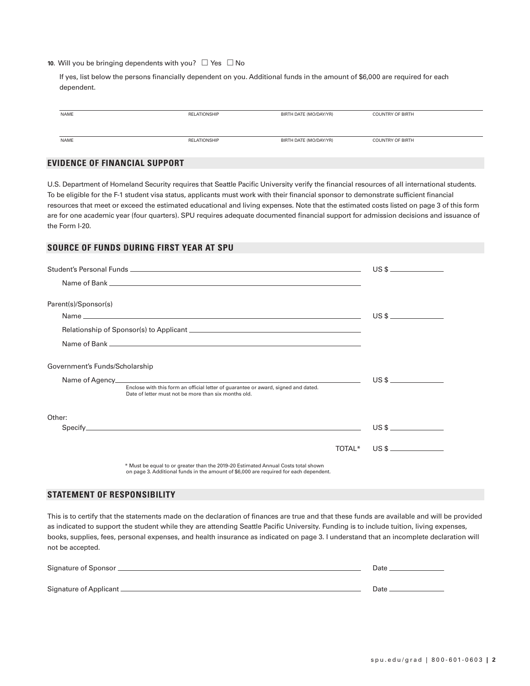**10.** Will you be bringing dependents with you? □ Yes □ No

If yes, list below the persons financially dependent on you. Additional funds in the amount of \$6,000 are required for each dependent.

| NAME | <b>RELATIONSHIP</b> | BIRTH DATE (MO/DAY/YR) | <b>COUNTRY OF BIRTH</b> |
|------|---------------------|------------------------|-------------------------|
|      |                     |                        |                         |
|      |                     |                        |                         |
|      |                     |                        |                         |
| NAME | <b>RELATIONSHIP</b> | BIRTH DATE (MO/DAY/YR) | <b>COUNTRY OF BIRTH</b> |

## **EVIDENCE OF FINANCIAL SUPPORT**

U.S. Department of Homeland Security requires that Seattle Pacific University verify the financial resources of all international students. To be eligible for the F-1 student visa status, applicants must work with their financial sponsor to demonstrate sufficient financial resources that meet or exceed the estimated educational and living expenses. Note that the estimated costs listed on page 3 of this form are for one academic year (four quarters). SPU requires adequate documented financial support for admission decisions and issuance of the Form I-20.

## **SOURCE OF FUNDS DURING FIRST YEAR AT SPU**

| Parent(s)/Sponsor(s)           |                                                                                                                                            |  |             |
|--------------------------------|--------------------------------------------------------------------------------------------------------------------------------------------|--|-------------|
|                                |                                                                                                                                            |  |             |
|                                |                                                                                                                                            |  |             |
|                                |                                                                                                                                            |  |             |
| Government's Funds/Scholarship |                                                                                                                                            |  |             |
|                                |                                                                                                                                            |  |             |
|                                | Enclose with this form an official letter of guarantee or award, signed and dated.<br>Date of letter must not be more than six months old. |  |             |
| Other:                         |                                                                                                                                            |  |             |
|                                |                                                                                                                                            |  |             |
|                                |                                                                                                                                            |  | TOTAL* US\$ |
|                                | * Must be equal to or greater than the 2019-20 Estimated Annual Costs total shown                                                          |  |             |

\* Must be equal to or greater than the 2019–20 Estimated Annual Costs total shown on page 3. Additional funds in the amount of \$6,000 are required for each dependent.

## **STATEMENT OF RESPONSIBILITY**

This is to certify that the statements made on the declaration of finances are true and that these funds are available and will be provided as indicated to support the student while they are attending Seattle Pacific University. Funding is to include tuition, living expenses, books, supplies, fees, personal expenses, and health insurance as indicated on page 3. I understand that an incomplete declaration will not be accepted.

| Signature of Sponsor __  | Date |
|--------------------------|------|
| Signature of Applicant _ | Date |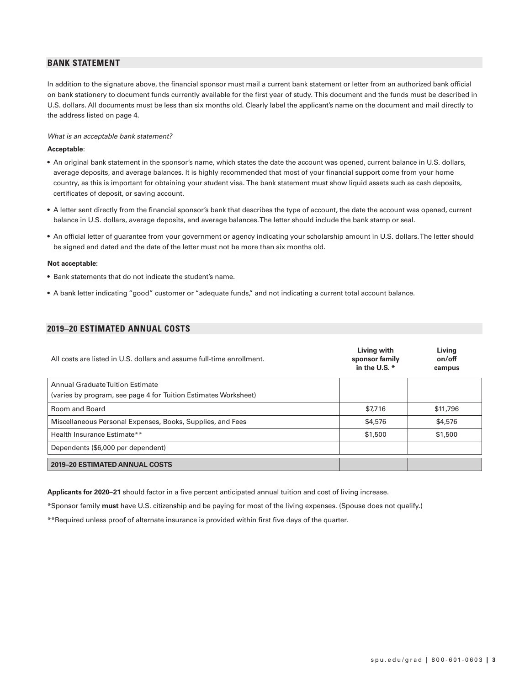## **BANK STATEMENT**

In addition to the signature above, the financial sponsor must mail a current bank statement or letter from an authorized bank official on bank stationery to document funds currently available for the first year of study. This document and the funds must be described in U.S. dollars. All documents must be less than six months old. Clearly label the applicant's name on the document and mail directly to the address listed on page 4.

#### *What is an acceptable bank statement?*

#### **Acceptable**:

- An original bank statement in the sponsor's name, which states the date the account was opened, current balance in U.S. dollars, average deposits, and average balances. It is highly recommended that most of your financial support come from your home country, as this is important for obtaining your student visa. The bank statement must show liquid assets such as cash deposits, certificates of deposit, or saving account.
- A letter sent directly from the financial sponsor's bank that describes the type of account, the date the account was opened, current balance in U.S. dollars, average deposits, and average balances. The letter should include the bank stamp or seal.
- An official letter of guarantee from your government or agency indicating your scholarship amount in U.S. dollars. The letter should be signed and dated and the date of the letter must not be more than six months old.

#### **Not acceptable:**

- Bank statements that do not indicate the student's name.
- A bank letter indicating "good" customer or "adequate funds," and not indicating a current total account balance.

### **2019–20 ESTIMATED ANNUAL COSTS**

| All costs are listed in U.S. dollars and assume full-time enrollment. | Living with<br>sponsor family<br>in the U.S. * | Living<br>on/off<br>campus |
|-----------------------------------------------------------------------|------------------------------------------------|----------------------------|
| Annual Graduate Tuition Estimate                                      |                                                |                            |
| (varies by program, see page 4 for Tuition Estimates Worksheet)       |                                                |                            |
| Room and Board                                                        | \$7,716                                        | \$11,796                   |
| Miscellaneous Personal Expenses, Books, Supplies, and Fees            | \$4,576                                        | \$4,576                    |
| Health Insurance Estimate**                                           | \$1,500                                        | \$1,500                    |
| Dependents (\$6,000 per dependent)                                    |                                                |                            |
| <b>2019-20 ESTIMATED ANNUAL COSTS</b>                                 |                                                |                            |

**Applicants for 2020–21** should factor in a five percent anticipated annual tuition and cost of living increase.

\*Sponsor family **must** have U.S. citizenship and be paying for most of the living expenses. (Spouse does not qualify.)

\*\*Required unless proof of alternate insurance is provided within first five days of the quarter.